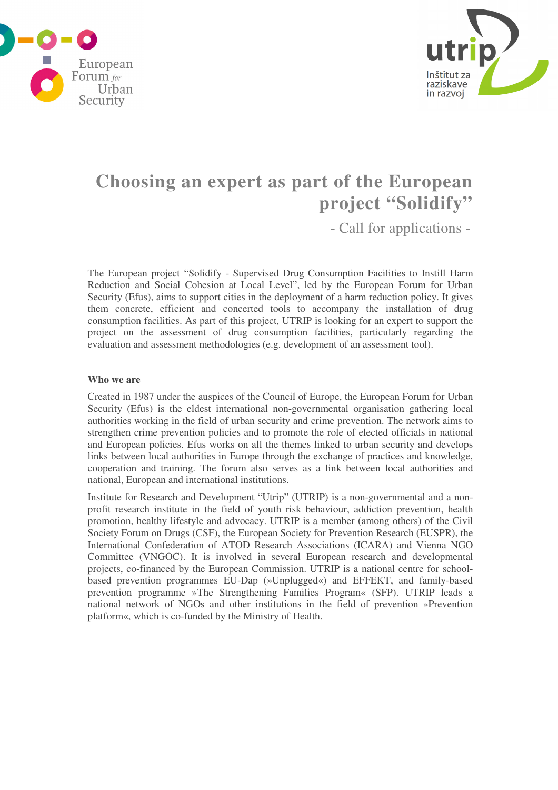



# **Choosing an expert as part of the European project "Solidify"**

- Call for applications -

The European project "Solidify - Supervised Drug Consumption Facilities to Instill Harm Reduction and Social Cohesion at Local Level", led by the European Forum for Urban Security (Efus), aims to support cities in the deployment of a harm reduction policy. It gives them concrete, efficient and concerted tools to accompany the installation of drug consumption facilities. As part of this project, UTRIP is looking for an expert to support the project on the assessment of drug consumption facilities, particularly regarding the evaluation and assessment methodologies (e.g. development of an assessment tool).

#### **Who we are**

Created in 1987 under the auspices of the Council of Europe, the European Forum for Urban Security (Efus) is the eldest international non-governmental organisation gathering local authorities working in the field of urban security and crime prevention. The network aims to strengthen crime prevention policies and to promote the role of elected officials in national and European policies. Efus works on all the themes linked to urban security and develops links between local authorities in Europe through the exchange of practices and knowledge, cooperation and training. The forum also serves as a link between local authorities and national, European and international institutions.

Institute for Research and Development "Utrip" (UTRIP) is a non-governmental and a nonprofit research institute in the field of youth risk behaviour, addiction prevention, health promotion, healthy lifestyle and advocacy. UTRIP is a member (among others) of the Civil Society Forum on Drugs (CSF), the European Society for Prevention Research (EUSPR), the International Confederation of ATOD Research Associations (ICARA) and Vienna NGO Committee (VNGOC). It is involved in several European research and developmental projects, co-financed by the European Commission. UTRIP is a national centre for schoolbased prevention programmes EU-Dap (»Unplugged«) and EFFEKT, and family-based prevention programme »The Strengthening Families Program« (SFP). UTRIP leads a national network of NGOs and other institutions in the field of prevention »Prevention platform«, which is co-funded by the Ministry of Health.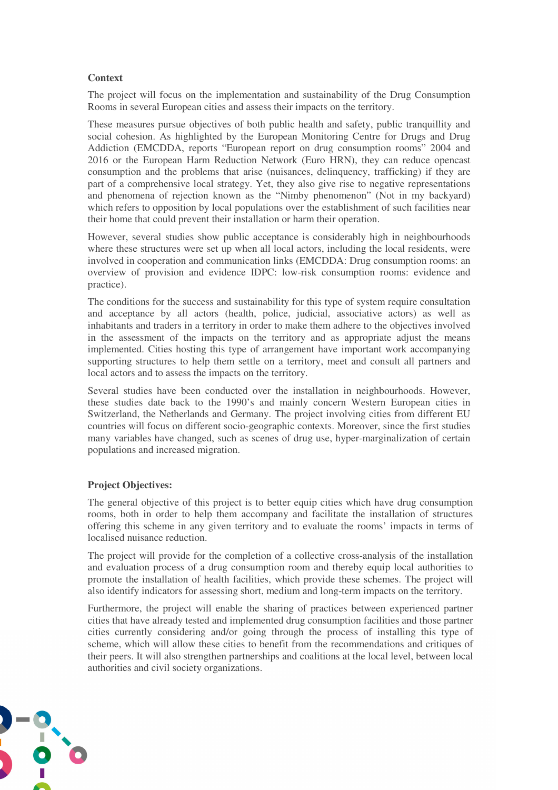## **Context**

The project will focus on the implementation and sustainability of the Drug Consumption Rooms in several European cities and assess their impacts on the territory.

These measures pursue objectives of both public health and safety, public tranquillity and social cohesion. As highlighted by the European Monitoring Centre for Drugs and Drug Addiction (EMCDDA, reports "European report on drug consumption rooms" 2004 and 2016 or the European Harm Reduction Network (Euro HRN), they can reduce opencast consumption and the problems that arise (nuisances, delinquency, trafficking) if they are part of a comprehensive local strategy. Yet, they also give rise to negative representations and phenomena of rejection known as the "Nimby phenomenon" (Not in my backyard) which refers to opposition by local populations over the establishment of such facilities near their home that could prevent their installation or harm their operation.

However, several studies show public acceptance is considerably high in neighbourhoods where these structures were set up when all local actors, including the local residents, were involved in cooperation and communication links (EMCDDA: Drug consumption rooms: an overview of provision and evidence IDPC: low-risk consumption rooms: evidence and practice).

The conditions for the success and sustainability for this type of system require consultation and acceptance by all actors (health, police, judicial, associative actors) as well as inhabitants and traders in a territory in order to make them adhere to the objectives involved in the assessment of the impacts on the territory and as appropriate adjust the means implemented. Cities hosting this type of arrangement have important work accompanying supporting structures to help them settle on a territory, meet and consult all partners and local actors and to assess the impacts on the territory.

Several studies have been conducted over the installation in neighbourhoods. However, these studies date back to the 1990's and mainly concern Western European cities in Switzerland, the Netherlands and Germany. The project involving cities from different EU countries will focus on different socio-geographic contexts. Moreover, since the first studies many variables have changed, such as scenes of drug use, hyper-marginalization of certain populations and increased migration.

## **Project Objectives:**

The general objective of this project is to better equip cities which have drug consumption rooms, both in order to help them accompany and facilitate the installation of structures offering this scheme in any given territory and to evaluate the rooms' impacts in terms of localised nuisance reduction.

The project will provide for the completion of a collective cross-analysis of the installation and evaluation process of a drug consumption room and thereby equip local authorities to promote the installation of health facilities, which provide these schemes. The project will also identify indicators for assessing short, medium and long-term impacts on the territory.

Furthermore, the project will enable the sharing of practices between experienced partner cities that have already tested and implemented drug consumption facilities and those partner cities currently considering and/or going through the process of installing this type of scheme, which will allow these cities to benefit from the recommendations and critiques of their peers. It will also strengthen partnerships and coalitions at the local level, between local authorities and civil society organizations.

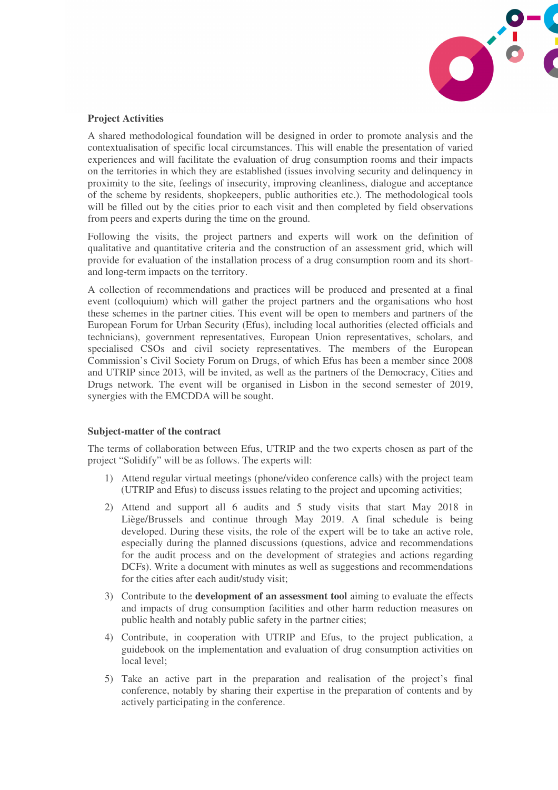

## **Project Activities**

A shared methodological foundation will be designed in order to promote analysis and the contextualisation of specific local circumstances. This will enable the presentation of varied experiences and will facilitate the evaluation of drug consumption rooms and their impacts on the territories in which they are established (issues involving security and delinquency in proximity to the site, feelings of insecurity, improving cleanliness, dialogue and acceptance of the scheme by residents, shopkeepers, public authorities etc.). The methodological tools will be filled out by the cities prior to each visit and then completed by field observations from peers and experts during the time on the ground.

Following the visits, the project partners and experts will work on the definition of qualitative and quantitative criteria and the construction of an assessment grid, which will provide for evaluation of the installation process of a drug consumption room and its shortand long-term impacts on the territory.

A collection of recommendations and practices will be produced and presented at a final event (colloquium) which will gather the project partners and the organisations who host these schemes in the partner cities. This event will be open to members and partners of the European Forum for Urban Security (Efus), including local authorities (elected officials and technicians), government representatives, European Union representatives, scholars, and specialised CSOs and civil society representatives. The members of the European Commission's Civil Society Forum on Drugs, of which Efus has been a member since 2008 and UTRIP since 2013, will be invited, as well as the partners of the Democracy, Cities and Drugs network. The event will be organised in Lisbon in the second semester of 2019, synergies with the EMCDDA will be sought.

## **Subject-matter of the contract**

The terms of collaboration between Efus, UTRIP and the two experts chosen as part of the project "Solidify" will be as follows. The experts will:

- 1) Attend regular virtual meetings (phone/video conference calls) with the project team (UTRIP and Efus) to discuss issues relating to the project and upcoming activities;
- 2) Attend and support all 6 audits and 5 study visits that start May 2018 in Liège/Brussels and continue through May 2019. A final schedule is being developed. During these visits, the role of the expert will be to take an active role, especially during the planned discussions (questions, advice and recommendations for the audit process and on the development of strategies and actions regarding DCFs). Write a document with minutes as well as suggestions and recommendations for the cities after each audit/study visit;
- 3) Contribute to the **development of an assessment tool** aiming to evaluate the effects and impacts of drug consumption facilities and other harm reduction measures on public health and notably public safety in the partner cities;
- 4) Contribute, in cooperation with UTRIP and Efus, to the project publication, a guidebook on the implementation and evaluation of drug consumption activities on local level;
- 5) Take an active part in the preparation and realisation of the project's final conference, notably by sharing their expertise in the preparation of contents and by actively participating in the conference.